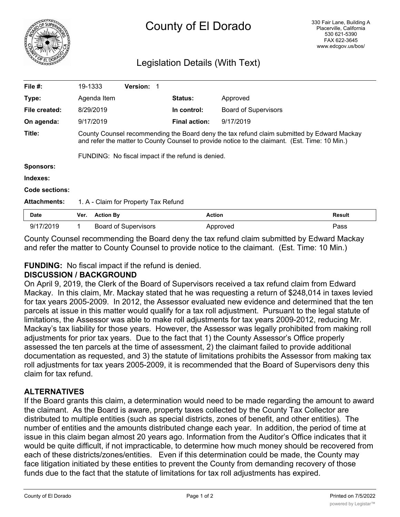

# Legislation Details (With Text)

| File $#$ :          | 19-1333                                                                                                                                                                                      |                  | <b>Version: 1</b>    |  |                      |                             |               |
|---------------------|----------------------------------------------------------------------------------------------------------------------------------------------------------------------------------------------|------------------|----------------------|--|----------------------|-----------------------------|---------------|
| Type:               |                                                                                                                                                                                              | Agenda Item      |                      |  | <b>Status:</b>       | Approved                    |               |
| File created:       |                                                                                                                                                                                              | 8/29/2019        |                      |  | In control:          | <b>Board of Supervisors</b> |               |
| On agenda:          |                                                                                                                                                                                              | 9/17/2019        |                      |  | <b>Final action:</b> | 9/17/2019                   |               |
| Title:              | County Counsel recommending the Board deny the tax refund claim submitted by Edward Mackay<br>and refer the matter to County Counsel to provide notice to the claimant. (Est. Time: 10 Min.) |                  |                      |  |                      |                             |               |
| <b>Sponsors:</b>    | FUNDING: No fiscal impact if the refund is denied.                                                                                                                                           |                  |                      |  |                      |                             |               |
|                     |                                                                                                                                                                                              |                  |                      |  |                      |                             |               |
| Indexes:            |                                                                                                                                                                                              |                  |                      |  |                      |                             |               |
| Code sections:      |                                                                                                                                                                                              |                  |                      |  |                      |                             |               |
| <b>Attachments:</b> | 1. A - Claim for Property Tax Refund                                                                                                                                                         |                  |                      |  |                      |                             |               |
| <b>Date</b>         | Ver.                                                                                                                                                                                         | <b>Action By</b> |                      |  | <b>Action</b>        |                             | <b>Result</b> |
| 9/17/2019           |                                                                                                                                                                                              |                  | Board of Supervisors |  |                      | Approved                    | Pass          |

County Counsel recommending the Board deny the tax refund claim submitted by Edward Mackay and refer the matter to County Counsel to provide notice to the claimant. (Est. Time: 10 Min.)

## **FUNDING:** No fiscal impact if the refund is denied.

#### **DISCUSSION / BACKGROUND**

On April 9, 2019, the Clerk of the Board of Supervisors received a tax refund claim from Edward Mackay. In this claim, Mr. Mackay stated that he was requesting a return of \$248,014 in taxes levied for tax years 2005-2009. In 2012, the Assessor evaluated new evidence and determined that the ten parcels at issue in this matter would qualify for a tax roll adjustment. Pursuant to the legal statute of limitations, the Assessor was able to make roll adjustments for tax years 2009-2012, reducing Mr. Mackay's tax liability for those years. However, the Assessor was legally prohibited from making roll adjustments for prior tax years. Due to the fact that 1) the County Assessor's Office properly assessed the ten parcels at the time of assessment, 2) the claimant failed to provide additional documentation as requested, and 3) the statute of limitations prohibits the Assessor from making tax roll adjustments for tax years 2005-2009, it is recommended that the Board of Supervisors deny this claim for tax refund.

## **ALTERNATIVES**

If the Board grants this claim, a determination would need to be made regarding the amount to award the claimant. As the Board is aware, property taxes collected by the County Tax Collector are distributed to multiple entities (such as special districts, zones of benefit, and other entities). The number of entities and the amounts distributed change each year. In addition, the period of time at issue in this claim began almost 20 years ago. Information from the Auditor's Office indicates that it would be quite difficult, if not impracticable, to determine how much money should be recovered from each of these districts/zones/entities. Even if this determination could be made, the County may face litigation initiated by these entities to prevent the County from demanding recovery of those funds due to the fact that the statute of limitations for tax roll adjustments has expired.